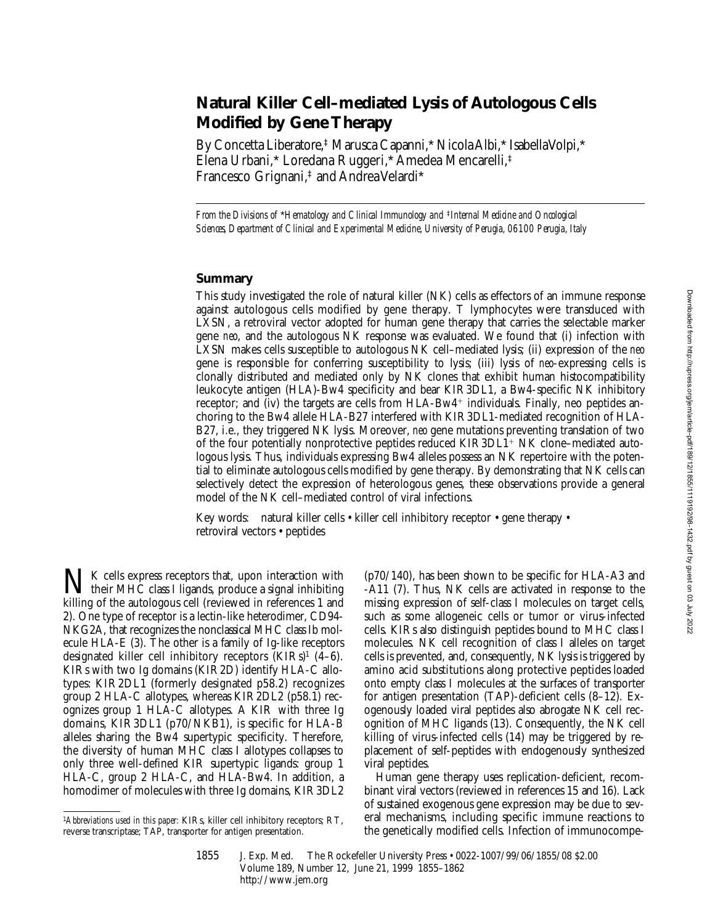# **Natural Killer Cell–mediated Lysis of Autologous Cells Modified by Gene Therapy**

By Concetta Liberatore,‡ Marusca Capanni,\* Nicola Albi,\* Isabella Volpi,\* Elena Urbani,\* Loredana Ruggeri,\* Amedea Mencarelli,‡ Francesco Grignani,‡ and Andrea Velardi\*

*From the Divisions of* \**Hematology and Clinical Immunology and* ‡*Internal Medicine and Oncological Sciences, Department of Clinical and Experimental Medicine, University of Perugia, 06100 Perugia, Italy*

#### **Summary**

This study investigated the role of natural killer (NK) cells as effectors of an immune response against autologous cells modified by gene therapy. T lymphocytes were transduced with LXSN, a retroviral vector adopted for human gene therapy that carries the selectable marker gene *neo*, and the autologous NK response was evaluated. We found that (i) infection with LXSN makes cells susceptible to autologous NK cell–mediated lysis; (ii) expression of the *neo* gene is responsible for conferring susceptibility to lysis; (iii) lysis of *neo*-expressing cells is clonally distributed and mediated only by NK clones that exhibit human histocompatibility leukocyte antigen (HLA)-Bw4 specificity and bear KIR3DL1, a Bw4-specific NK inhibitory receptor; and (iv) the targets are cells from  $HLA-Bw4<sup>+</sup>$  individuals. Finally, neo peptides anchoring to the Bw4 allele HLA-B27 interfered with KIR3DL1-mediated recognition of HLA-B27, i.e., they triggered NK lysis. Moreover, *neo* gene mutations preventing translation of two of the four potentially nonprotective peptides reduced  $KIR3DL1<sup>+</sup> NK$  clone–mediated autologous lysis. Thus, individuals expressing Bw4 alleles possess an NK repertoire with the potential to eliminate autologous cells modified by gene therapy. By demonstrating that NK cells can selectively detect the expression of heterologous genes, these observations provide a general model of the NK cell–mediated control of viral infections.

Key words: natural killer cells • killer cell inhibitory receptor • gene therapy • retroviral vectors • peptides

 $\prod K$  cells express receptors that, upon interaction with  $\blacklozenge$  their MHC class I ligands, produce a signal inhibiting killing of the autologous cell (reviewed in references 1 and 2). One type of receptor is a lectin-like heterodimer, CD94- NKG2A, that recognizes the nonclassical MHC class Ib molecule HLA-E (3). The other is a family of Ig-like receptors designated killer cell inhibitory receptors  $(KIRs)^1$  (4–6). KIRs with two Ig domains (KIR2D) identify HLA-C allotypes: KIR2DL1 (formerly designated p58.2) recognizes group 2 HLA-C allotypes, whereas KIR2DL2 (p58.1) recognizes group 1 HLA-C allotypes. A KIR with three Ig domains, KIR3DL1 (p70/NKB1), is specific for HLA-B alleles sharing the Bw4 supertypic specificity. Therefore, the diversity of human MHC class I allotypes collapses to only three well-defined KIR supertypic ligands: group 1 HLA-C, group 2 HLA-C, and HLA-Bw4. In addition, a homodimer of molecules with three Ig domains, KIR3DL2

(p70/140), has been shown to be specific for HLA-A3 and -A11 (7). Thus, NK cells are activated in response to the missing expression of self-class I molecules on target cells, such as some allogeneic cells or tumor or virus-infected cells. KIRs also distinguish peptides bound to MHC class I molecules. NK cell recognition of class I alleles on target cells is prevented, and, consequently, NK lysis is triggered by amino acid substitutions along protective peptides loaded onto empty class I molecules at the surfaces of transporter for antigen presentation (TAP)-deficient cells (8–12). Exogenously loaded viral peptides also abrogate NK cell recognition of MHC ligands (13). Consequently, the NK cell killing of virus-infected cells (14) may be triggered by replacement of self-peptides with endogenously synthesized viral peptides.

Human gene therapy uses replication-deficient, recombinant viral vectors (reviewed in references 15 and 16). Lack of sustained exogenous gene expression may be due to several mechanisms, including specific immune reactions to the genetically modified cells. Infection of immunocompe-

<sup>1</sup>*Abbreviations used in this paper:* KIRs, killer cell inhibitory receptors; RT, reverse transcriptase; TAP, transporter for antigen presentation.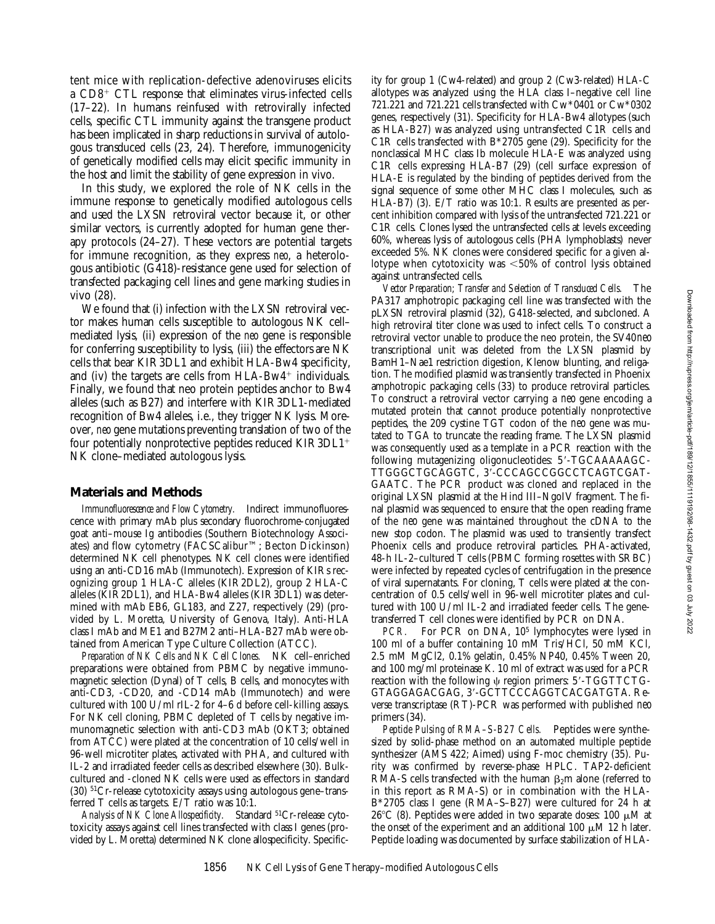tent mice with replication-defective adenoviruses elicits a  $CD8<sup>+</sup>$  CTL response that eliminates virus-infected cells (17–22). In humans reinfused with retrovirally infected cells, specific CTL immunity against the transgene product has been implicated in sharp reductions in survival of autologous transduced cells (23, 24). Therefore, immunogenicity of genetically modified cells may elicit specific immunity in the host and limit the stability of gene expression in vivo.

In this study, we explored the role of NK cells in the immune response to genetically modified autologous cells and used the LXSN retroviral vector because it, or other similar vectors, is currently adopted for human gene therapy protocols (24–27). These vectors are potential targets for immune recognition, as they express *neo*, a heterologous antibiotic (G418)-resistance gene used for selection of transfected packaging cell lines and gene marking studies in vivo (28).

We found that (i) infection with the LXSN retroviral vector makes human cells susceptible to autologous NK cell– mediated lysis, (ii) expression of the *neo* gene is responsible for conferring susceptibility to lysis, (iii) the effectors are NK cells that bear KIR3DL1 and exhibit HLA-Bw4 specificity, and (iv) the targets are cells from  $HLA-Bw4^+$  individuals. Finally, we found that neo protein peptides anchor to Bw4 alleles (such as B27) and interfere with KIR3DL1-mediated recognition of Bw4 alleles, i.e., they trigger NK lysis. Moreover, *neo* gene mutations preventing translation of two of the four potentially nonprotective peptides reduced  $KIR3DL1<sup>+</sup>$ NK clone–mediated autologous lysis.

#### **Materials and Methods**

*Immunofluorescence and Flow Cytometry.* Indirect immunofluorescence with primary mAb plus secondary fluorochrome-conjugated goat anti–mouse Ig antibodies (Southern Biotechnology Associates) and flow cytometry (FACSCalibur™; Becton Dickinson) determined NK cell phenotypes. NK cell clones were identified using an anti-CD16 mAb (Immunotech). Expression of KIRs recognizing group 1 HLA-C alleles (KIR2DL2), group 2 HLA-C alleles (KIR2DL1), and HLA-Bw4 alleles (KIR3DL1) was determined with mAb EB6, GL183, and Z27, respectively (29) (provided by L. Moretta, University of Genova, Italy). Anti-HLA class I mAb and ME1 and B27M2 anti–HLA-B27 mAb were obtained from American Type Culture Collection (ATCC).

*Preparation of NK Cells and NK Cell Clones.* NK cell–enriched preparations were obtained from PBMC by negative immunomagnetic selection (Dynal) of T cells, B cells, and monocytes with anti-CD3, -CD20, and -CD14 mAb (Immunotech) and were cultured with 100 U/ml rIL-2 for 4–6 d before cell-killing assays. For NK cell cloning, PBMC depleted of T cells by negative immunomagnetic selection with anti-CD3 mAb (OKT3; obtained from ATCC) were plated at the concentration of 10 cells/well in 96-well microtiter plates, activated with PHA, and cultured with IL-2 and irradiated feeder cells as described elsewhere (30). Bulkcultured and -cloned NK cells were used as effectors in standard (30) 51Cr-release cytotoxicity assays using autologous gene–transferred T cells as targets. E/T ratio was 10:1.

Analysis of NK Clone Allospecificity. Standard <sup>51</sup>Cr-release cytotoxicity assays against cell lines transfected with class I genes (provided by L. Moretta) determined NK clone allospecificity. Specific-

ity for group 1 (Cw4-related) and group 2 (Cw3-related) HLA-C allotypes was analyzed using the HLA class I–negative cell line 721.221 and 721.221 cells transfected with Cw\*0401 or Cw\*0302 genes, respectively (31). Specificity for HLA-Bw4 allotypes (such as HLA-B27) was analyzed using untransfected C1R cells and C1R cells transfected with B\*2705 gene (29). Specificity for the nonclassical MHC class Ib molecule HLA-E was analyzed using C1R cells expressing HLA-B7 (29) (cell surface expression of HLA-E is regulated by the binding of peptides derived from the signal sequence of some other MHC class I molecules, such as HLA-B7) (3). E/T ratio was 10:1. Results are presented as percent inhibition compared with lysis of the untransfected 721.221 or C1R cells. Clones lysed the untransfected cells at levels exceeding 60%, whereas lysis of autologous cells (PHA lymphoblasts) never exceeded 5%. NK clones were considered specific for a given allotype when cytotoxicity was  $<50\%$  of control lysis obtained against untransfected cells.

*Vector Preparation; Transfer and Selection of Transduced Cells.* The PA317 amphotropic packaging cell line was transfected with the pLXSN retroviral plasmid (32), G418-selected, and subcloned. A high retroviral titer clone was used to infect cells. To construct a retroviral vector unable to produce the neo protein, the SV40*neo* transcriptional unit was deleted from the LXSN plasmid by BamH1–Nae1 restriction digestion, Klenow blunting, and religation. The modified plasmid was transiently transfected in Phoenix amphotropic packaging cells (33) to produce retroviral particles. To construct a retroviral vector carrying a *neo* gene encoding a mutated protein that cannot produce potentially nonprotective peptides, the 209 cystine TGT codon of the *neo* gene was mutated to TGA to truncate the reading frame. The LXSN plasmid was consequently used as a template in a PCR reaction with the following mutagenizing oligonucleotides: 5'-TGCAAAAAGC-TTGGGCTGCAGGTC, 3'-CCCAGCCGGCCTCAGTCGAT-GAATC. The PCR product was cloned and replaced in the original LXSN plasmid at the Hind III–NgoIV fragment. The final plasmid was sequenced to ensure that the open reading frame of the *neo* gene was maintained throughout the cDNA to the new stop codon. The plasmid was used to transiently transfect Phoenix cells and produce retroviral particles. PHA-activated, 48-h IL-2–cultured T cells (PBMC forming rosettes with SRBC) were infected by repeated cycles of centrifugation in the presence of viral supernatants. For cloning, T cells were plated at the concentration of 0.5 cells/well in 96-well microtiter plates and cultured with 100 U/ml IL-2 and irradiated feeder cells. The genetransferred T cell clones were identified by PCR on DNA.

*PCR.* For PCR on DNA, 10<sup>5</sup> lymphocytes were lysed in 100 ml of a buffer containing 10 mM Tris/HCl, 50 mM KCl, 2.5 mM MgCl2, 0.1% gelatin, 0.45% NP40, 0.45% Tween 20, and 100 mg/ml proteinase K. 10 ml of extract was used for a PCR reaction with the following  $\psi$  region primers: 5'-TGGTTCTG-GTAGGAGACGAG, 3'-GCTTCCCAGGTCACGATGTA. Reverse transcriptase (RT)-PCR was performed with published *neo* primers (34).

*Peptide Pulsing of RMA–S-B27 Cells.* Peptides were synthesized by solid-phase method on an automated multiple peptide synthesizer (AMS 422; Aimed) using F-moc chemistry (35). Purity was confirmed by reverse-phase HPLC. TAP2-deficient RMA-S cells transfected with the human  $\beta_2$ m alone (referred to in this report as RMA-S) or in combination with the HLA-B\*2705 class I gene (RMA–S–B27) were cultured for 24 h at 26°C (8). Peptides were added in two separate doses: 100  $\mu$ M at the onset of the experiment and an additional 100  $\mu$ M 12 h later. Peptide loading was documented by surface stabilization of HLA-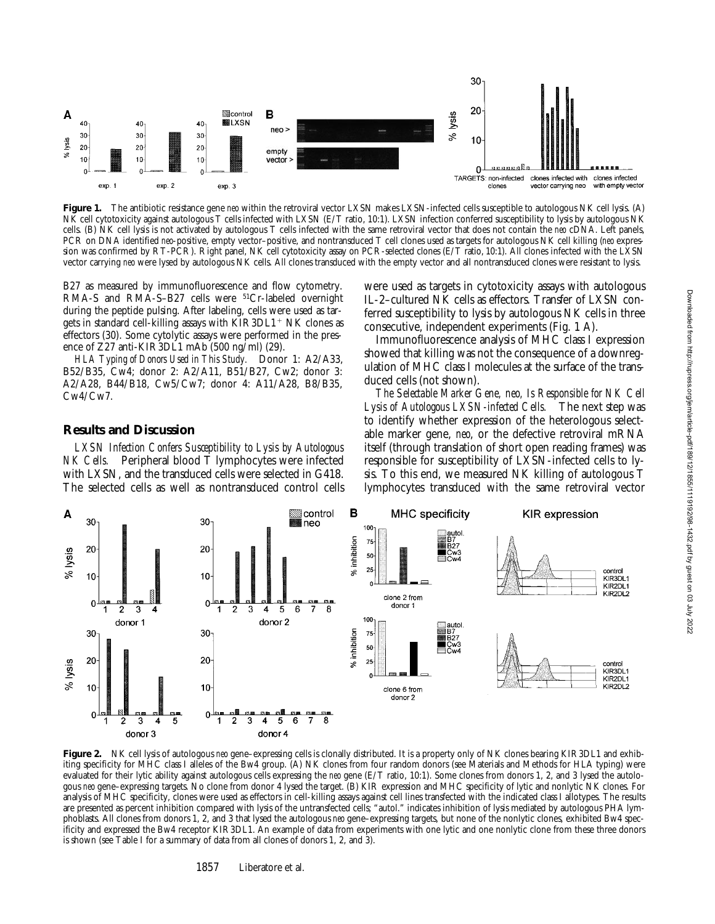

**Figure 1.** The antibiotic resistance gene *neo* within the retroviral vector LXSN makes LXSN-infected cells susceptible to autologous NK cell lysis. (A) NK cell cytotoxicity against autologous T cells infected with LXSN (E/T ratio, 10:1). LXSN infection conferred susceptibility to lysis by autologous NK cells. (B) NK cell lysis is not activated by autologous T cells infected with the same retroviral vector that does not contain the *neo* cDNA. Left panels, PCR on DNA identified *neo*-positive, empty vector–positive, and nontransduced T cell clones used as targets for autologous NK cell killing (*neo* expression was confirmed by RT-PCR). Right panel, NK cell cytotoxicity assay on PCR-selected clones (E/T ratio, 10:1). All clones infected with the LXSN vector carrying *neo* were lysed by autologous NK cells. All clones transduced with the empty vector and all nontransduced clones were resistant to lysis.

B27 as measured by immunofluorescence and flow cytometry. RMA-S and RMA-S-B27 cells were <sup>51</sup>Cr-labeled overnight during the peptide pulsing. After labeling, cells were used as targets in standard cell-killing assays with  $KIR3DL1+NK$  clones as effectors (30). Some cytolytic assays were performed in the presence of Z27 anti-KIR3DL1 mAb (500 ng/ml) (29).

*HLA Typing of Donors Used in This Study.* Donor 1: A2/A33, B52/B35, Cw4; donor 2: A2/A11, B51/B27, Cw2; donor 3: A2/A28, B44/B18, Cw5/Cw7; donor 4: A11/A28, B8/B35, Cw4/Cw7.

### **Results and Discussion**

*LXSN Infection Confers Susceptibility to Lysis by Autologous NK Cells.* Peripheral blood T lymphocytes were infected with LXSN, and the transduced cells were selected in G418. The selected cells as well as nontransduced control cells

were used as targets in cytotoxicity assays with autologous IL-2–cultured NK cells as effectors. Transfer of LXSN conferred susceptibility to lysis by autologous NK cells in three consecutive, independent experiments (Fig. 1 A).

Immunofluorescence analysis of MHC class I expression showed that killing was not the consequence of a downregulation of MHC class I molecules at the surface of the transduced cells (not shown).

*The Selectable Marker Gene, neo, Is Responsible for NK Cell Lysis of Autologous LXSN-infected Cells.* The next step was to identify whether expression of the heterologous selectable marker gene, *neo*, or the defective retroviral mRNA itself (through translation of short open reading frames) was responsible for susceptibility of LXSN-infected cells to lysis. To this end, we measured NK killing of autologous T lymphocytes transduced with the same retroviral vector



Figure 2. NK cell lysis of autologous neo gene-expressing cells is clonally distributed. It is a property only of NK clones bearing KIR3DL1 and exhibiting specificity for MHC class I alleles of the Bw4 group. (A) NK clones from four random donors (see Materials and Methods for HLA typing) were evaluated for their lytic ability against autologous cells expressing the *neo* gene (E/T ratio, 10:1). Some clones from donors 1, 2, and 3 lysed the autologous *neo* gene–expressing targets. No clone from donor 4 lysed the target. (B) KIR expression and MHC specificity of lytic and nonlytic NK clones. For analysis of MHC specificity, clones were used as effectors in cell-killing assays against cell lines transfected with the indicated class I allotypes. The results are presented as percent inhibition compared with lysis of the untransfected cells; "autol." indicates inhibition of lysis mediated by autologous PHA lymphoblasts. All clones from donors 1, 2, and 3 that lysed the autologous *neo* gene–expressing targets, but none of the nonlytic clones, exhibited Bw4 specificity and expressed the Bw4 receptor KIR3DL1. An example of data from experiments with one lytic and one nonlytic clone from these three donors is shown (see Table I for a summary of data from all clones of donors 1, 2, and 3).

1857 Liberatore et al.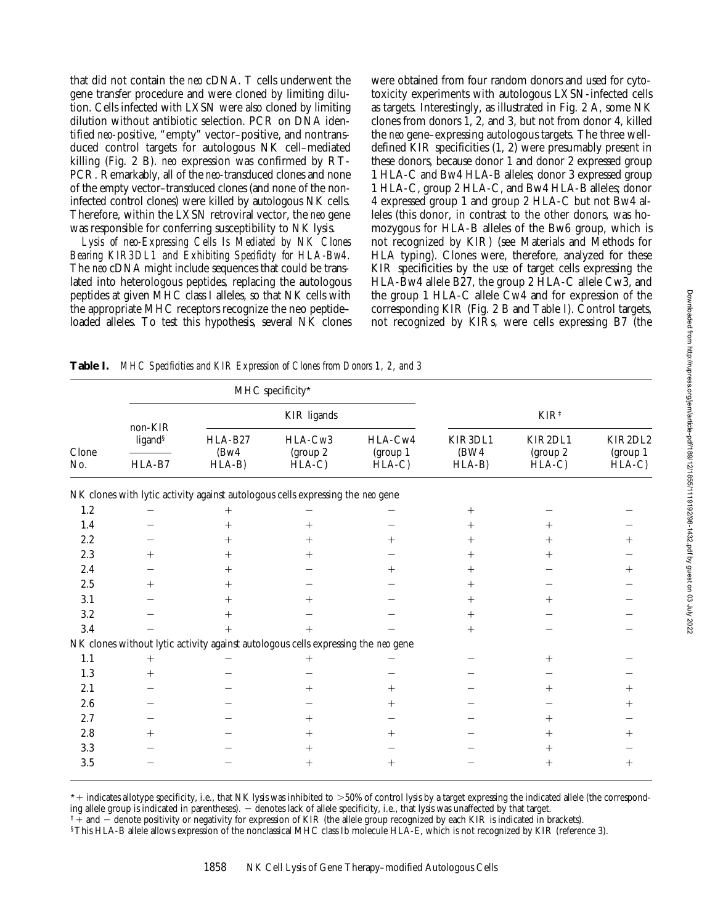that did not contain the *neo* cDNA. T cells underwent the gene transfer procedure and were cloned by limiting dilution. Cells infected with LXSN were also cloned by limiting dilution without antibiotic selection. PCR on DNA identified *neo*-positive, "empty" vector–positive, and nontransduced control targets for autologous NK cell–mediated killing (Fig. 2 B). *neo* expression was confirmed by RT-PCR. Remarkably, all of the *neo*-transduced clones and none of the empty vector–transduced clones (and none of the noninfected control clones) were killed by autologous NK cells. Therefore, within the LXSN retroviral vector, the *neo* gene was responsible for conferring susceptibility to NK lysis.

*Lysis of neo-Expressing Cells Is Mediated by NK Clones Bearing KIR3DL1 and Exhibiting Specificity for HLA-Bw4.* The *neo* cDNA might include sequences that could be translated into heterologous peptides, replacing the autologous peptides at given MHC class I alleles, so that NK cells with the appropriate MHC receptors recognize the neo peptide– loaded alleles. To test this hypothesis, several NK clones were obtained from four random donors and used for cytotoxicity experiments with autologous LXSN-infected cells as targets. Interestingly, as illustrated in Fig. 2 A, some NK clones from donors 1, 2, and 3, but not from donor 4, killed the *neo* gene–expressing autologous targets. The three welldefined KIR specificities (1, 2) were presumably present in these donors, because donor 1 and donor 2 expressed group 1 HLA-C and Bw4 HLA-B alleles; donor 3 expressed group 1 HLA-C, group 2 HLA-C, and Bw4 HLA-B alleles; donor 4 expressed group 1 and group 2 HLA-C but not Bw4 alleles (this donor, in contrast to the other donors, was homozygous for HLA-B alleles of the Bw6 group, which is not recognized by KIR) (see Materials and Methods for HLA typing). Clones were, therefore, analyzed for these KIR specificities by the use of target cells expressing the HLA-Bw4 allele B27, the group 2 HLA-C allele Cw3, and the group 1 HLA-C allele Cw4 and for expression of the corresponding KIR (Fig. 2 B and Table I). Control targets, not recognized by KIRs, were cells expressing B7 (the

**Table I.** *MHC Specificities and KIR Expression of Clones from Donors 1, 2, and 3*

| Clone<br>No. |                                          |                             | MHC specificity*                                                                  |                                 |                             |                                 |                                 |
|--------------|------------------------------------------|-----------------------------|-----------------------------------------------------------------------------------|---------------------------------|-----------------------------|---------------------------------|---------------------------------|
|              | non-KIR<br>ligand <sup>§</sup><br>HLA-B7 | <b>KIR</b> ligands          |                                                                                   |                                 | $KIR^{\ddagger}$            |                                 |                                 |
|              |                                          | HLA-B27<br>(Bw4)<br>$HLA-B$ | HLA-Cw3<br>(group 2)<br>$HLA-C$                                                   | HLA-Cw4<br>(group 1)<br>$HLA-C$ | KIR3DL1<br>(BW4)<br>$HLA-B$ | KIR2DL1<br>(group 2)<br>$HLA-C$ | KIR2DL2<br>(group 1)<br>$HLA-C$ |
|              |                                          |                             |                                                                                   |                                 |                             |                                 |                                 |
| $1.2\,$      |                                          | $^{+}$                      |                                                                                   |                                 | $^{+}$                      |                                 |                                 |
| 1.4          |                                          | $^+$                        | $^+$                                                                              |                                 | $^+$                        | $^+$                            |                                 |
| 2.2          |                                          | $^+$                        | $^+$                                                                              | $^+$                            | $^+$                        | $^{+}$                          |                                 |
| $2.3\,$      | $^+$                                     | $^+$                        |                                                                                   |                                 | $\,+\,$                     | $^{+}$                          |                                 |
| 2.4          |                                          | $^+$                        |                                                                                   | $^+$                            | $^{+}$                      |                                 | $^+$                            |
| 2.5          | $^{+}$                                   | $^+$                        |                                                                                   |                                 | $^{+}$                      |                                 |                                 |
| 3.1          |                                          | $^+$                        | $^+$                                                                              |                                 | $^{+}$                      | $^{+}$                          |                                 |
| $3.2\,$      |                                          | ┿                           |                                                                                   |                                 | $^{+}$                      |                                 |                                 |
| 3.4          |                                          | $^{+}$                      | $^{+}$                                                                            |                                 | $+$                         |                                 |                                 |
|              |                                          |                             | NK clones without lytic activity against autologous cells expressing the neo gene |                                 |                             |                                 |                                 |
| $1.1\,$      | $^{+}$                                   |                             | $^{+}$                                                                            |                                 |                             | $^{+}$                          |                                 |
| 1.3          | $^{+}$                                   |                             |                                                                                   |                                 |                             |                                 |                                 |
| 2.1          |                                          |                             |                                                                                   | $^+$                            |                             | $^+$                            |                                 |
| 2.6          |                                          |                             |                                                                                   | $^+$                            |                             |                                 | $^+$                            |
| 2.7          |                                          |                             | $\overline{+}$                                                                    |                                 |                             | $^{+}$                          |                                 |
| $2.8\,$      | $^{+}$                                   |                             | $^+$                                                                              | $^+$                            |                             | $^{+}$                          |                                 |
| 3.3          |                                          |                             | $^+$                                                                              |                                 |                             | $^{+}$                          |                                 |
| 3.5          |                                          |                             | $^+$                                                                              | $^{+}$                          |                             | $^{+}$                          | $^+$                            |

 $*+$  indicates allotype specificity, i.e., that NK lysis was inhibited to  $>50\%$  of control lysis by a target expressing the indicated allele (the corresponding allele group is indicated in parentheses). - denotes lack of allele specificity, i.e., that lysis was unaffected by that target.

 $*+$  and  $-$  denote positivity or negativity for expression of KIR (the allele group recognized by each KIR is indicated in brackets).

§This HLA-B allele allows expression of the nonclassical MHC class Ib molecule HLA-E, which is not recognized by KIR (reference 3).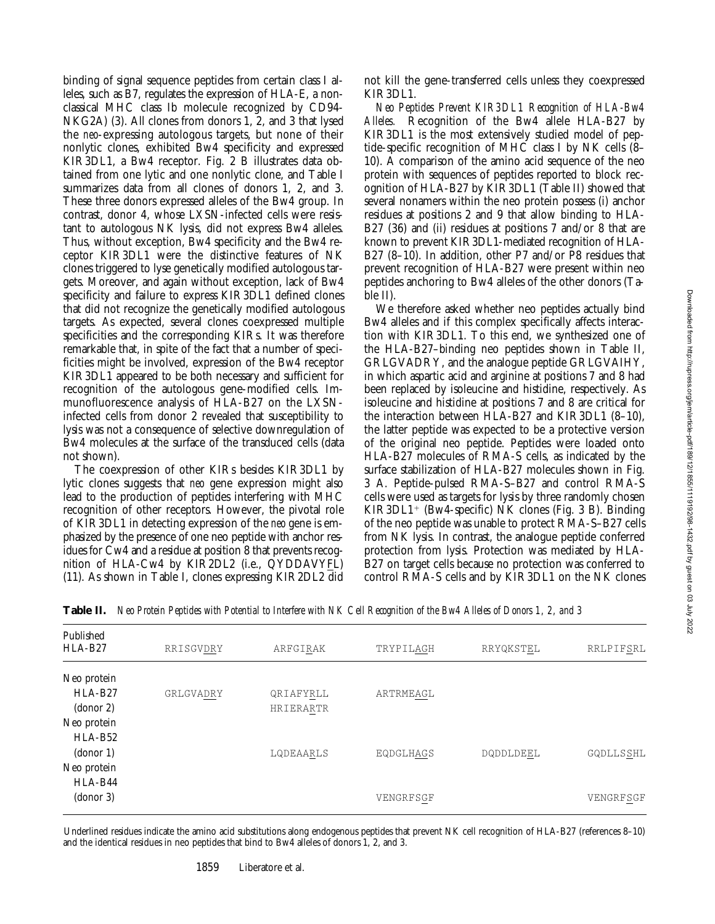binding of signal sequence peptides from certain class I alleles, such as B7, regulates the expression of HLA-E, a nonclassical MHC class Ib molecule recognized by CD94- NKG2A) (3). All clones from donors 1, 2, and 3 that lysed the *neo*-expressing autologous targets, but none of their nonlytic clones, exhibited Bw4 specificity and expressed KIR3DL1, a Bw4 receptor. Fig. 2 B illustrates data obtained from one lytic and one nonlytic clone, and Table I summarizes data from all clones of donors 1, 2, and 3. These three donors expressed alleles of the Bw4 group. In contrast, donor 4, whose LXSN-infected cells were resistant to autologous NK lysis, did not express Bw4 alleles. Thus, without exception, Bw4 specificity and the Bw4 receptor KIR3DL1 were the distinctive features of NK clones triggered to lyse genetically modified autologous targets. Moreover, and again without exception, lack of Bw4 specificity and failure to express KIR3DL1 defined clones that did not recognize the genetically modified autologous targets. As expected, several clones coexpressed multiple specificities and the corresponding KIRs. It was therefore remarkable that, in spite of the fact that a number of specificities might be involved, expression of the Bw4 receptor KIR3DL1 appeared to be both necessary and sufficient for recognition of the autologous gene-modified cells. Immunofluorescence analysis of HLA-B27 on the LXSNinfected cells from donor 2 revealed that susceptibility to lysis was not a consequence of selective downregulation of Bw4 molecules at the surface of the transduced cells (data not shown).

The coexpression of other KIRs besides KIR3DL1 by lytic clones suggests that *neo* gene expression might also lead to the production of peptides interfering with MHC recognition of other receptors. However, the pivotal role of KIR3DL1 in detecting expression of the *neo* gene is emphasized by the presence of one neo peptide with anchor residues for Cw4 and a residue at position 8 that prevents recognition of HLA-Cw4 by KIR2DL2 (i.e., QYDDAVYFL) (11). As shown in Table I, clones expressing KIR2DL2 did

not kill the gene-transferred cells unless they coexpressed KIR3DL1.

*Neo Peptides Prevent KIR3DL1 Recognition of HLA-Bw4 Alleles.* Recognition of the Bw4 allele HLA-B27 by KIR3DL1 is the most extensively studied model of peptide-specific recognition of MHC class I by NK cells (8– 10). A comparison of the amino acid sequence of the neo protein with sequences of peptides reported to block recognition of HLA-B27 by KIR3DL1 (Table II) showed that several nonamers within the neo protein possess (i) anchor residues at positions 2 and 9 that allow binding to HLA-B27 (36) and (ii) residues at positions 7 and/or 8 that are known to prevent KIR3DL1-mediated recognition of HLA-B27 (8–10). In addition, other P7 and/or P8 residues that prevent recognition of HLA-B27 were present within neo peptides anchoring to Bw4 alleles of the other donors (Table II).

We therefore asked whether neo peptides actually bind Bw4 alleles and if this complex specifically affects interaction with KIR3DL1. To this end, we synthesized one of the HLA-B27–binding neo peptides shown in Table II, GRLGVADRY, and the analogue peptide GRLGVAIHY, in which aspartic acid and arginine at positions 7 and 8 had been replaced by isoleucine and histidine, respectively. As isoleucine and histidine at positions 7 and 8 are critical for the interaction between HLA-B27 and KIR3DL1 (8–10), the latter peptide was expected to be a protective version of the original neo peptide. Peptides were loaded onto HLA-B27 molecules of RMA-S cells, as indicated by the surface stabilization of HLA-B27 molecules shown in Fig. 3 A. Peptide-pulsed RMA-S–B27 and control RMA-S cells were used as targets for lysis by three randomly chosen  $KIR3DL1<sup>+</sup>$  (Bw4-specific) NK clones (Fig. 3 B). Binding of the neo peptide was unable to protect RMA-S–B27 cells from NK lysis. In contrast, the analogue peptide conferred protection from lysis. Protection was mediated by HLA-B27 on target cells because no protection was conferred to control RMA-S cells and by KIR3DL1 on the NK clones

| Published<br>$HLA-B27$                               | RRISGVDRY | ARFGIRAK               | TRYPILAGH | RRYQKSTEL | RRLPIFSRL |
|------------------------------------------------------|-----------|------------------------|-----------|-----------|-----------|
| Neo protein<br>HLA-B <sub>27</sub><br>$\frac{1}{2}$  | GRLGVADRY | QRIAFYRLL<br>HRIERARTR | ARTRMEAGL |           |           |
| Neo protein<br>$HLA-B52$<br>(donor 1)<br>Neo protein |           | LQDEAARLS              | EQDGLHAGS | DQDDLDEEL | GQDLLSSHL |
| HLA-B44<br>(donor 3)                                 |           |                        | VENGRFSGF |           | VENGRFSGF |

**Table II.** *Neo Protein Peptides with Potential to Interfere with NK Cell Recognition of the Bw4 Alleles of Donors 1, 2, and 3*

Underlined residues indicate the amino acid substitutions along endogenous peptides that prevent NK cell recognition of HLA-B27 (references 8–10) and the identical residues in neo peptides that bind to Bw4 alleles of donors 1, 2, and 3.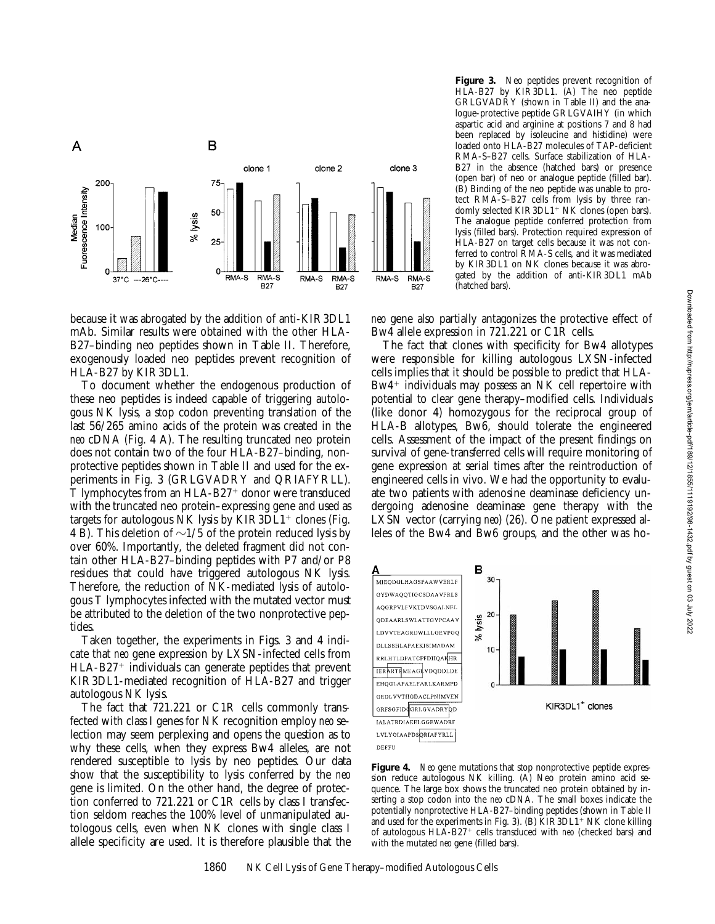

because it was abrogated by the addition of anti-KIR3DL1 mAb. Similar results were obtained with the other HLA-B27–binding neo peptides shown in Table II. Therefore, exogenously loaded neo peptides prevent recognition of HLA-B27 by KIR3DL1.

To document whether the endogenous production of these neo peptides is indeed capable of triggering autologous NK lysis, a stop codon preventing translation of the last 56/265 amino acids of the protein was created in the *neo* cDNA (Fig. 4 A). The resulting truncated neo protein does not contain two of the four HLA-B27–binding, nonprotective peptides shown in Table II and used for the experiments in Fig. 3 (GRLGVADRY and QRIAFYRLL). T lymphocytes from an  $HLA-B27<sup>+</sup>$  donor were transduced with the truncated neo protein–expressing gene and used as targets for autologous NK lysis by  $KIR3DL1<sup>+</sup>$  clones (Fig. 4 B). This deletion of  $\sim$ 1/5 of the protein reduced lysis by over 60%. Importantly, the deleted fragment did not contain other HLA-B27–binding peptides with P7 and/or P8 residues that could have triggered autologous NK lysis. Therefore, the reduction of NK-mediated lysis of autologous T lymphocytes infected with the mutated vector must be attributed to the deletion of the two nonprotective peptides.

Taken together, the experiments in Figs. 3 and 4 indicate that *neo* gene expression by LXSN-infected cells from  $HLA-B27<sup>+</sup>$  individuals can generate peptides that prevent KIR3DL1-mediated recognition of HLA-B27 and trigger autologous NK lysis.

The fact that 721.221 or C1R cells commonly transfected with class I genes for NK recognition employ *neo* selection may seem perplexing and opens the question as to why these cells, when they express Bw4 alleles, are not rendered susceptible to lysis by neo peptides. Our data show that the susceptibility to lysis conferred by the *neo* gene is limited. On the other hand, the degree of protection conferred to 721.221 or C1R cells by class I transfection seldom reaches the 100% level of unmanipulated autologous cells, even when NK clones with single class I allele specificity are used. It is therefore plausible that the **Figure 3.** Neo peptides prevent recognition of HLA-B27 by KIR3DL1. (A) The neo peptide GRLGVADRY (shown in Table II) and the analogue-protective peptide GRLGVAIHY (in which aspartic acid and arginine at positions 7 and 8 had been replaced by isoleucine and histidine) were loaded onto HLA-B27 molecules of TAP-deficient RMA-S–B27 cells. Surface stabilization of HLA-B27 in the absence (hatched bars) or presence (open bar) of neo or analogue peptide (filled bar). (B) Binding of the neo peptide was unable to protect RMA-S–B27 cells from lysis by three randomly selected  $KIR3DL1+NK$  clones (open bars). The analogue peptide conferred protection from lysis (filled bars). Protection required expression of HLA-B27 on target cells because it was not conferred to control RMA-S cells, and it was mediated by KIR3DL1 on NK clones because it was abrogated by the addition of anti-KIR3DL1 mAb (hatched bars).

*neo* gene also partially antagonizes the protective effect of Bw4 allele expression in 721.221 or C1R cells.

The fact that clones with specificity for Bw4 allotypes were responsible for killing autologous LXSN-infected cells implies that it should be possible to predict that HLA- $Bw4$ <sup>+</sup> individuals may possess an NK cell repertoire with potential to clear gene therapy–modified cells. Individuals (like donor 4) homozygous for the reciprocal group of HLA-B allotypes, Bw6, should tolerate the engineered cells. Assessment of the impact of the present findings on survival of gene-transferred cells will require monitoring of gene expression at serial times after the reintroduction of engineered cells in vivo. We had the opportunity to evaluate two patients with adenosine deaminase deficiency undergoing adenosine deaminase gene therapy with the LXSN vector (carrying *neo*) (26). One patient expressed alleles of the Bw4 and Bw6 groups, and the other was ho-



**Figure 4.** *Neo* gene mutations that stop nonprotective peptide expression reduce autologous NK killing. (A) Neo protein amino acid sequence. The large box shows the truncated neo protein obtained by inserting a stop codon into the *neo* cDNA. The small boxes indicate the potentially nonprotective HLA-B27–binding peptides (shown in Table II and used for the experiments in Fig. 3). (B)  $\overline{KIR3DL1}$ <sup>+</sup> NK clone killing of autologous HLA-B27<sup>+</sup> cells transduced with *neo* (checked bars) and with the mutated *neo* gene (filled bars).

DEFFU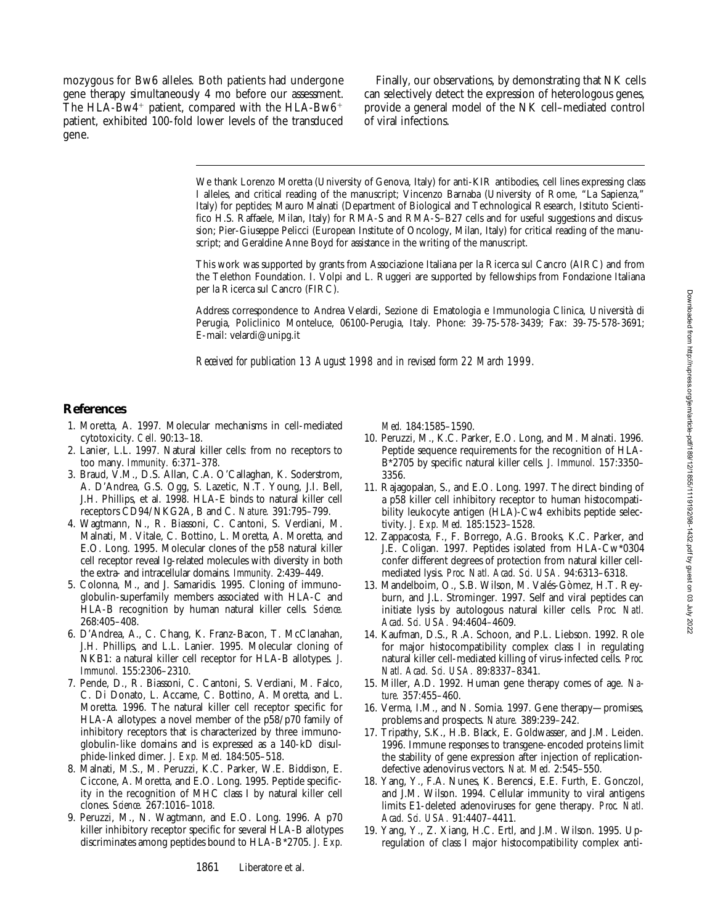mozygous for Bw6 alleles. Both patients had undergone gene therapy simultaneously 4 mo before our assessment. The HLA-Bw4<sup>+</sup> patient, compared with the HLA-Bw6<sup>+</sup> patient, exhibited 100-fold lower levels of the transduced gene.

Finally, our observations, by demonstrating that NK cells can selectively detect the expression of heterologous genes, provide a general model of the NK cell–mediated control of viral infections.

We thank Lorenzo Moretta (University of Genova, Italy) for anti-KIR antibodies, cell lines expressing class I alleles, and critical reading of the manuscript; Vincenzo Barnaba (University of Rome, "La Sapienza," Italy) for peptides; Mauro Malnati (Department of Biological and Technological Research, Istituto Scientifico H.S. Raffaele, Milan, Italy) for RMA-S and RMA-S–B27 cells and for useful suggestions and discussion; Pier-Giuseppe Pelicci (European Institute of Oncology, Milan, Italy) for critical reading of the manuscript; and Geraldine Anne Boyd for assistance in the writing of the manuscript.

This work was supported by grants from Associazione Italiana per la Ricerca sul Cancro (AIRC) and from the Telethon Foundation. I. Volpi and L. Ruggeri are supported by fellowships from Fondazione Italiana per la Ricerca sul Cancro (FIRC).

Address correspondence to Andrea Velardi, Sezione di Ematologia e Immunologia Clinica, Università di Perugia, Policlinico Monteluce, 06100-Perugia, Italy. Phone: 39-75-578-3439; Fax: 39-75-578-3691; E-mail: velardi@unipg.it

*Received for publication 13 August 1998 and in revised form 22 March 1999.*

## **References**

- 1. Moretta, A. 1997. Molecular mechanisms in cell-mediated cytotoxicity. *Cell.* 90:13–18.
- 2. Lanier, L.L. 1997. Natural killer cells: from no receptors to too many. *Immunity.* 6:371–378.
- 3. Braud, V.M., D.S. Allan, C.A. O'Callaghan, K. Soderstrom, A. D'Andrea, G.S. Ogg, S. Lazetic, N.T. Young, J.I. Bell, J.H. Phillips, et al. 1998. HLA-E binds to natural killer cell receptors CD94/NKG2A, B and C. *Nature.* 391:795–799.
- 4. Wagtmann, N., R. Biassoni, C. Cantoni, S. Verdiani, M. Malnati, M. Vitale, C. Bottino, L. Moretta, A. Moretta, and E.O. Long. 1995. Molecular clones of the p58 natural killer cell receptor reveal Ig-related molecules with diversity in both the extra- and intracellular domains. *Immunity.* 2:439–449.
- 5. Colonna, M., and J. Samaridis. 1995. Cloning of immunoglobulin-superfamily members associated with HLA-C and HLA-B recognition by human natural killer cells. *Science.* 268:405–408.
- 6. D'Andrea, A., C. Chang, K. Franz-Bacon, T. McClanahan, J.H. Phillips, and L.L. Lanier. 1995. Molecular cloning of NKB1: a natural killer cell receptor for HLA-B allotypes. *J. Immunol.* 155:2306–2310.
- 7. Pende, D., R. Biassoni, C. Cantoni, S. Verdiani, M. Falco, C. Di Donato, L. Accame, C. Bottino, A. Moretta, and L. Moretta. 1996. The natural killer cell receptor specific for HLA-A allotypes: a novel member of the p58/p70 family of inhibitory receptors that is characterized by three immunoglobulin-like domains and is expressed as a 140-kD disulphide-linked dimer. *J. Exp. Med.* 184:505–518.
- 8. Malnati, M.S., M. Peruzzi, K.C. Parker, W.E. Biddison, E. Ciccone, A. Moretta, and E.O. Long. 1995. Peptide specificity in the recognition of MHC class I by natural killer cell clones. *Science.* 267:1016–1018.
- 9. Peruzzi, M., N. Wagtmann, and E.O. Long. 1996. A p70 killer inhibitory receptor specific for several HLA-B allotypes discriminates among peptides bound to HLA-B\*2705. *J. Exp.*

*Med.* 184:1585–1590.

- 10. Peruzzi, M., K.C. Parker, E.O. Long, and M. Malnati. 1996. Peptide sequence requirements for the recognition of HLA-B\*2705 by specific natural killer cells. *J. Immunol.* 157:3350– 3356.
- 11. Rajagopalan, S., and E.O. Long. 1997. The direct binding of a p58 killer cell inhibitory receptor to human histocompatibility leukocyte antigen (HLA)-Cw4 exhibits peptide selectivity. *J. Exp. Med.* 185:1523–1528.
- 12. Zappacosta, F., F. Borrego, A.G. Brooks, K.C. Parker, and J.E. Coligan. 1997. Peptides isolated from HLA-Cw\*0304 confer different degrees of protection from natural killer cellmediated lysis. *Proc. Natl. Acad. Sci. USA.* 94:6313–6318.
- 13. Mandelboim, O., S.B. Wilson, M. Valés-Gòmez, H.T. Reyburn, and J.L. Strominger. 1997. Self and viral peptides can initiate lysis by autologous natural killer cells. *Proc. Natl. Acad. Sci. USA.* 94:4604–4609.
- 14. Kaufman, D.S., R.A. Schoon, and P.L. Liebson. 1992. Role for major histocompatibility complex class I in regulating natural killer cell-mediated killing of virus-infected cells. *Proc. Natl. Acad. Sci. USA.* 89:8337–8341.
- 15. Miller, A.D. 1992. Human gene therapy comes of age. *Nature.* 357:455–460.
- 16. Verma, I.M., and N. Somia. 1997. Gene therapy—promises, problems and prospects. *Nature.* 389:239–242.
- 17. Tripathy, S.K., H.B. Black, E. Goldwasser, and J.M. Leiden. 1996. Immune responses to transgene-encoded proteins limit the stability of gene expression after injection of replicationdefective adenovirus vectors. *Nat. Med.* 2:545–550.
- 18. Yang, Y., F.A. Nunes, K. Berencsi, E.E. Furth, E. Gonczol, and J.M. Wilson. 1994. Cellular immunity to viral antigens limits E1-deleted adenoviruses for gene therapy. *Proc. Natl. Acad. Sci. USA.* 91:4407–4411.
- 19. Yang, Y., Z. Xiang, H.C. Ertl, and J.M. Wilson. 1995. Upregulation of class I major histocompatibility complex anti-